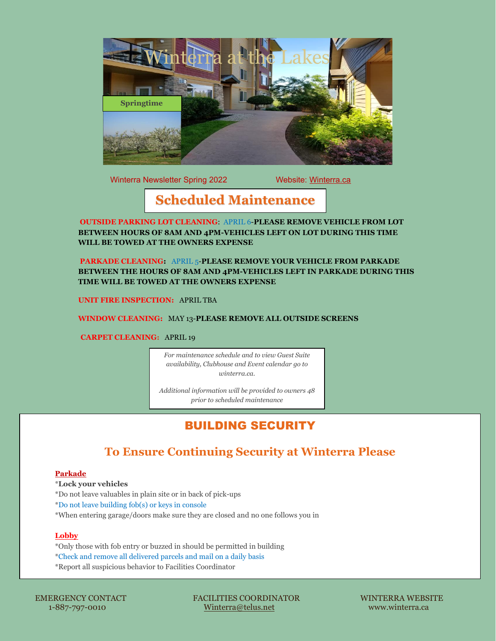

Winterra Newsletter Spring 2022 Website: Winterra.ca

# **Scheduled Maintenance**

**OUTSIDE PARKING LOT CLEANING**: APRIL 6-**PLEASE REMOVE VEHICLE FROM LOT BETWEEN HOURS OF 8AM AND 4PM-VEHICLES LEFT ON LOT DURING THIS TIME WILL BE TOWED AT THE OWNERS EXPENSE**

**PARKADE CLEANING:** APRIL 5-**PLEASE REMOVE YOUR VEHICLE FROM PARKADE BETWEEN THE HOURS OF 8AM AND 4PM-VEHICLES LEFT IN PARKADE DURING THIS TIME WILL BE TOWED AT THE OWNERS EXPENSE**

**UNIT FIRE INSPECTION:** APRIL TBA

**WINDOW CLEANING:** MAY 13-**PLEASE REMOVE ALL OUTSIDE SCREENS**

**CARPET CLEANING:** APRIL 19

*For maintenance schedule and to view Guest Suite availability, Clubhouse and Event calendar go to winterra.ca.* 

*Additional information will be provided to owners 48 prior to scheduled maintenance*

# BUILDING SECURITY

## **To Ensure Continuing Security at Winterra Please**

### **Parkade**

\***Lock your vehicles** \*Do not leave valuables in plain site or in back of pick-ups \*Do not leave building fob(s) or keys in console \*When entering garage/doors make sure they are closed and no one follows you in

### **Lobby**

\*Only those with fob entry or buzzed in should be permitted in building \*Check and remove all delivered parcels and mail on a daily basis

\*Report all suspicious behavior to Facilities Coordinator

1-887-797-0010

 EMERGENCY CONTACT FACILITIES COORDINATOR WINTERRA WEBSITE 1-887-897-801-887-8010 Winterra.ca www.winterra.ca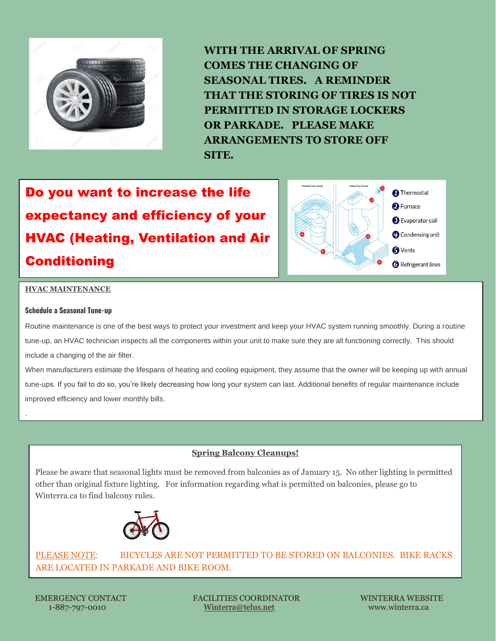

**WITH THE ARRIVAL OF SPRING COMES THE CHANGING OF SEASONAL TIRES. A REMINDER THAT THE STORING OF TIRES IS NOT PERMITTED IN STORAGE LOCKERS OR PARKADE. PLEASE MAKE ARRANGEMENTS TO STORE OFF SITE.**

Do you want to increase the life expectancy and efficiency of your HVAC (Heating, Ventilation and Air Conditioning



### **HVAC MAINTENANCE**

#### **Schedule a Seasonal Tune-up**

.

Routine maintenance is one of the best ways to protect your investment and keep your HVAC system running smoothly. During a routine tune-up, an HVAC technician inspects all the components within your unit to make sure they are all functioning correctly. This should include a changing of the air filter.

When manufacturers estimate the lifespans of heating and cooling equipment, they assume that the owner will be keeping up with annual tune-ups. If you fail to do so, you're likely decreasing how long your system can last. Additional benefits of regular maintenance include improved efficiency and lower monthly bills.

### **Spring Balcony Cleanups!**

Please be aware that seasonal lights must be removed from balconies as of January 15. No other lighting is permitted other than original fixture lighting. For information regarding what is permitted on balconies, please go to Winterra.ca to find balcony rules.



PLEASE NOTE: BICYCLES ARE NOT PERMITTED TO BE STORED ON BALCONIES. BIKE RACKS ARE LOCATED IN PARKADE AND BIKE ROOM.

 EMERGENCY CONTACT FACILITIES COORDINATOR WINTERRA WEBSITE 1-887-797-0010 [Winterra@telus.net](mailto:Winterra@telus.net) www.winterra.ca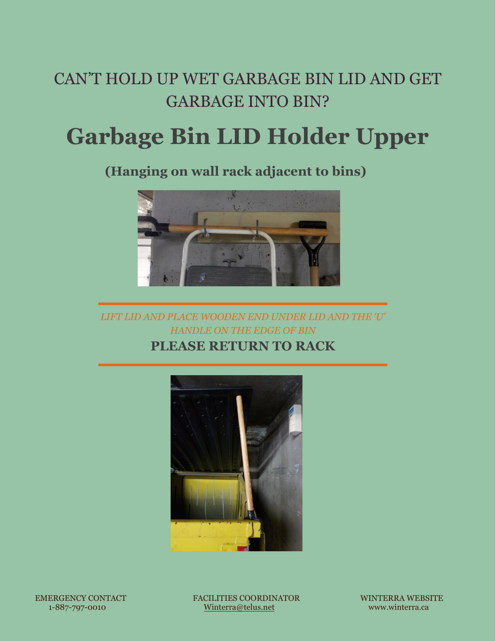# CAN'T HOLD UP WET GARBAGE BIN LID AND GET GARBAGE INTO BIN?

# **Garbage Bin LID Holder Upper**

 **(Hanging on wall rack adjacent to bins)** 



*LIFT LID AND PLACE WOODEN END UNDER LID AND THE 'U' HANDLE ON THE EDGE OF BIN* **PLEASE RETURN TO RACK** 



 EMERGENCY CONTACT FACILITIES COORDINATOR WINTERRA WEBSITE 1-887-797-0010 [Winterra@telus.net](mailto:Winterra@telus.net) www.winterra.ca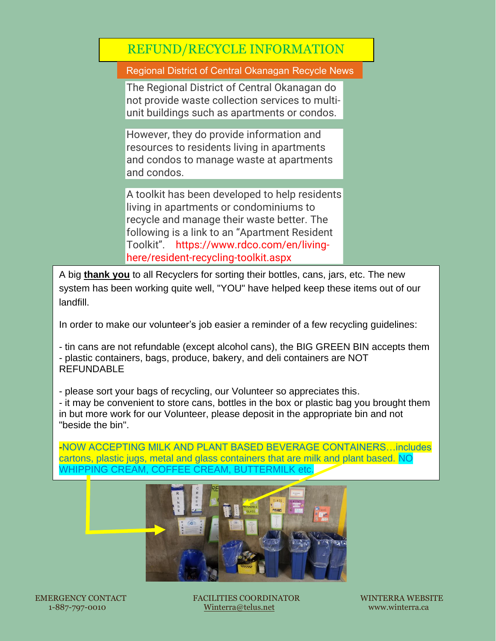# REFUND/RECYCLE INFORMATION

Regional District of Central Okanagan Recycle News

The Regional District of Central Okanagan do not provide waste collection services to multiunit buildings such as apartments or condos.

However, they do provide information and resources to residents living in apartments and condos to manage waste at apartments and condos.

A toolkit has been developed to help residents living in apartments or condominiums to recycle and manage their waste better. The following is a link to an "Apartment Resident Toolkit". https://www.rdco.com/en/livinghere/resident-recycling-toolkit.aspx

A big **thank you** to all Recyclers for sorting their bottles, cans, jars, etc. The new system has been working quite well, "YOU" have helped keep these items out of our landfill.

In order to make our volunteer's job easier a reminder of a few recycling guidelines:

- tin cans are not refundable (except alcohol cans), the BIG GREEN BIN accepts them - plastic containers, bags, produce, bakery, and deli containers are NOT REFUNDABLE

- please sort your bags of recycling, our Volunteer so appreciates this.

- it may be convenient to store cans, bottles in the box or plastic bag you brought them in but more work for our Volunteer, please deposit in the appropriate bin and not "beside the bin".

-NOW ACCEPTING MILK AND PLANT BASED BEVERAGE CONTAINERS…includes cartons, plastic jugs, metal and glass containers that are milk and plant based. NO WHIPPING CREAM, COFFEE CREAM, BUTTERMILK etc.



 EMERGENCY CONTACT FACILITIES COORDINATOR WINTERRA WEBSITE 1-887-797-0010 [Winterra@telus.net](mailto:Winterra@telus.net) www.winterra.ca